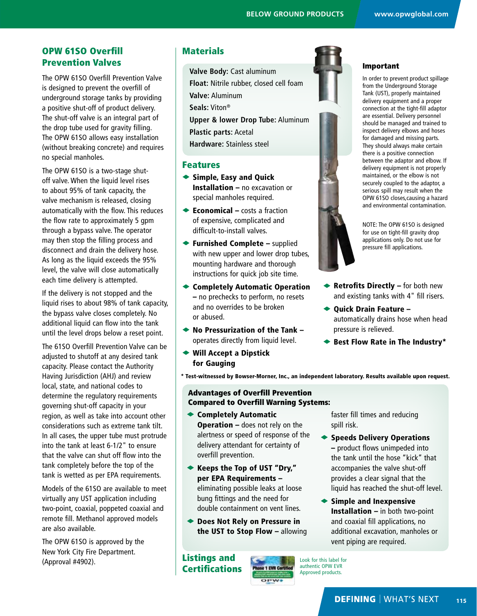## OPW 61SO Overfill Prevention Valves

The OPW 61SO Overfill Prevention Valve is designed to prevent the overfill of underground storage tanks by providing a positive shut-off of product delivery. The shut-off valve is an integral part of the drop tube used for gravity filling. The OPW 61SO allows easy installation (without breaking concrete) and requires no special manholes.

The OPW 61SO is a two-stage shutoff valve. When the liquid level rises to about 95% of tank capacity, the valve mechanism is released, closing automatically with the flow. This reduces the flow rate to approximately 5 gpm through a bypass valve. The operator may then stop the filling process and disconnect and drain the delivery hose. As long as the liquid exceeds the 95% level, the valve will close automatically each time delivery is attempted.

If the delivery is not stopped and the liquid rises to about 98% of tank capacity, the bypass valve closes completely. No additional liquid can flow into the tank until the level drops below a reset point.

The 61SO Overfill Prevention Valve can be adjusted to shutoff at any desired tank capacity. Please contact the Authority Having Jurisdiction (AHJ) and review local, state, and national codes to determine the regulatory requirements governing shut-off capacity in your region, as well as take into account other considerations such as extreme tank tilt. In all cases, the upper tube must protrude into the tank at least 6-1/2" to ensure that the valve can shut off flow into the tank completely before the top of the tank is wetted as per EPA requirements.

Models of the 61SO are available to meet virtually any UST application including two-point, coaxial, poppeted coaxial and remote fill. Methanol approved models are also available.

The OPW 61SO is approved by the New York City Fire Department. (Approval #4902).

### **Materials**

- **Valve Body:** Cast aluminum
- **Float:** Nitrile rubber, closed cell foam
- **Valve:** Aluminum

**Seals:** Viton®

**Upper & lower Drop Tube:** Aluminum

**Plastic parts:** Acetal

**Hardware:** Stainless steel

#### Features

- $\blacktriangleright$  Simple, Easy and Quick Installation – no excavation or special manholes required.
- $\triangle$  Economical costs a fraction of expensive, complicated and difficult-to-install valves.
- $\blacklozenge$  Furnished Complete supplied with new upper and lower drop tubes, mounting hardware and thorough instructions for quick job site time.
- ◆ Completely Automatic Operation – no prechecks to perform, no resets and no overrides to be broken or abused.
- $\blacktriangleright$  No Pressurization of the Tank operates directly from liquid level.
- $\blacktriangleright$  Will Accept a Dipstick for Gauging





Important

NOTE: The OPW 61SO is designed for use on tight-fill gravity drop applications only. Do not use for pressure fill applications.

- Retrofits Directly for both new and existing tanks with 4" fill risers.
- ◆ Quick Drain Feature automatically drains hose when head pressure is relieved.
- ◆ Best Flow Rate in The Industry\*

\* Test-witnessed by Bowser-Morner, Inc., an independent laboratory. Results available upon request.

#### Advantages of Overfill Prevention Compared to Overfill Warning Systems:

- $\blacklozenge$  Completely Automatic Operation – does not rely on the alertness or speed of response of the delivery attendant for certainty of overfill prevention.
- $\blacklozenge$  Keeps the Top of UST "Dry," per EPA Requirements – eliminating possible leaks at loose bung fittings and the need for double containment on vent lines.
- ◆ Does Not Rely on Pressure in the UST to Stop Flow – allowing

Listings and **Certifications** 



spill risk.

faster fill times and reducing

- $\bullet$  Speeds Delivery Operations – product flows unimpeded into the tank until the hose "kick" that accompanies the valve shut-off provides a clear signal that the liquid has reached the shut-off level.
- $\blacktriangleright$  Simple and Inexpensive Installation – in both two-point and coaxial fill applications, no additional excavation, manholes or vent piping are required.

Look for this label for authentic OPW EVR Approved products.

**DEFINING | WHAT'S NEXT** 

**115**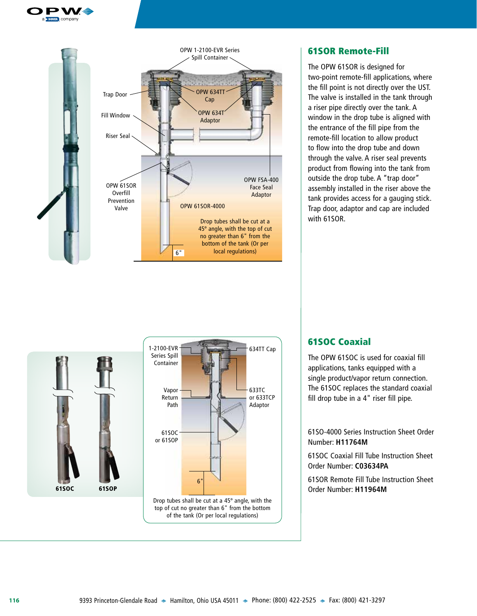



## 61SOR Remote-Fill

The OPW 61SOR is designed for two-point remote-fill applications, where the fill point is not directly over the UST. The valve is installed in the tank through a riser pipe directly over the tank. A window in the drop tube is aligned with the entrance of the fill pipe from the remote-fill location to allow product to flow into the drop tube and down through the valve. A riser seal prevents product from flowing into the tank from outside the drop tube. A "trap door" assembly installed in the riser above the tank provides access for a gauging stick. Trap door, adaptor and cap are included with 61SOR.





## 61SOC Coaxial

The OPW 61SOC is used for coaxial fill applications, tanks equipped with a single product/vapor return connection. The 61SOC replaces the standard coaxial fill drop tube in a 4" riser fill pipe.

61SO-4000 Series Instruction Sheet Order Number: **H11764M**

61SOC Coaxial Fill Tube Instruction Sheet Order Number: **C03634PA**

61SOR Remote Fill Tube Instruction Sheet